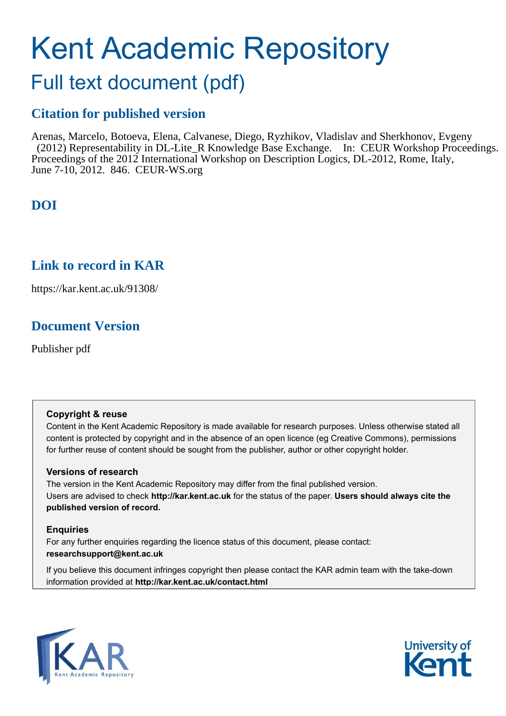# Kent Academic Repository

# Full text document (pdf)

# **Citation for published version**

Arenas, Marcelo, Botoeva, Elena, Calvanese, Diego, Ryzhikov, Vladislav and Sherkhonov, Evgeny (2012) Representability in DL-Lite\_R Knowledge Base Exchange. In: CEUR Workshop Proceedings. Proceedings of the 2012 International Workshop on Description Logics, DL-2012, Rome, Italy, June 7-10, 2012. 846. CEUR-WS.org

# **DOI**

# **Link to record in KAR**

https://kar.kent.ac.uk/91308/

# **Document Version**

Publisher pdf

## **Copyright & reuse**

Content in the Kent Academic Repository is made available for research purposes. Unless otherwise stated all content is protected by copyright and in the absence of an open licence (eg Creative Commons), permissions for further reuse of content should be sought from the publisher, author or other copyright holder.

## **Versions of research**

The version in the Kent Academic Repository may differ from the final published version. Users are advised to check **http://kar.kent.ac.uk** for the status of the paper. **Users should always cite the published version of record.**

## **Enquiries**

For any further enquiries regarding the licence status of this document, please contact: **researchsupport@kent.ac.uk**

If you believe this document infringes copyright then please contact the KAR admin team with the take-down information provided at **http://kar.kent.ac.uk/contact.html**



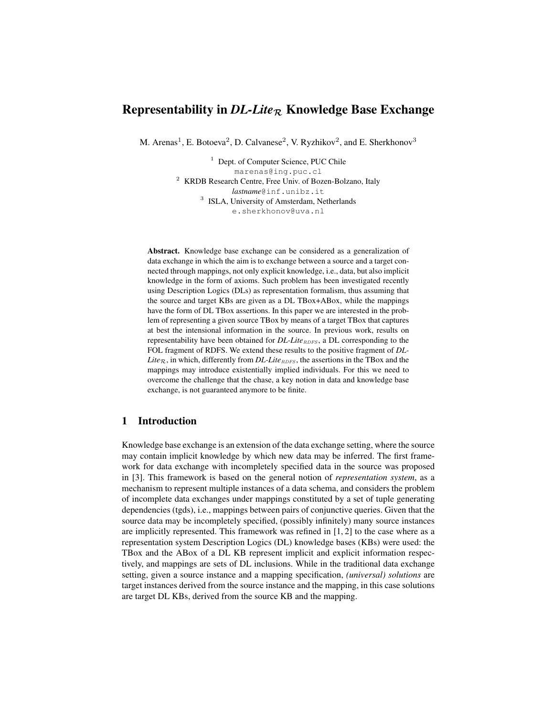## Representability in  $DL\text{-}Like_{\mathcal{R}}$  Knowledge Base Exchange

M. Arenas<sup>1</sup>, E. Botoeva<sup>2</sup>, D. Calvanese<sup>2</sup>, V. Ryzhikov<sup>2</sup>, and E. Sherkhonov<sup>3</sup>

<sup>1</sup> Dept. of Computer Science, PUC Chile marenas@ing.puc.cl <sup>2</sup> KRDB Research Centre, Free Univ. of Bozen-Bolzano, Italy *lastname*@inf.unibz.it <sup>3</sup> ISLA, University of Amsterdam, Netherlands e.sherkhonov@uva.nl

Abstract. Knowledge base exchange can be considered as a generalization of data exchange in which the aim is to exchange between a source and a target connected through mappings, not only explicit knowledge, i.e., data, but also implicit knowledge in the form of axioms. Such problem has been investigated recently using Description Logics (DLs) as representation formalism, thus assuming that the source and target KBs are given as a DL TBox+ABox, while the mappings have the form of DL TBox assertions. In this paper we are interested in the problem of representing a given source TBox by means of a target TBox that captures at best the intensional information in the source. In previous work, results on representability have been obtained for *DL-Lite*<sub>RDFS</sub>, a DL corresponding to the FOL fragment of RDFS. We extend these results to the positive fragment of *DL-Lite*<sub>R</sub>, in which, differently from *DL-Lite*<sub>RDFS</sub>, the assertions in the TBox and the mappings may introduce existentially implied individuals. For this we need to overcome the challenge that the chase, a key notion in data and knowledge base exchange, is not guaranteed anymore to be finite.

## 1 Introduction

Knowledge base exchange is an extension of the data exchange setting, where the source may contain implicit knowledge by which new data may be inferred. The first framework for data exchange with incompletely specified data in the source was proposed in [3]. This framework is based on the general notion of *representation system*, as a mechanism to represent multiple instances of a data schema, and considers the problem of incomplete data exchanges under mappings constituted by a set of tuple generating dependencies (tgds), i.e., mappings between pairs of conjunctive queries. Given that the source data may be incompletely specified, (possibly infinitely) many source instances are implicitly represented. This framework was refined in [1, 2] to the case where as a representation system Description Logics (DL) knowledge bases (KBs) were used: the TBox and the ABox of a DL KB represent implicit and explicit information respectively, and mappings are sets of DL inclusions. While in the traditional data exchange setting, given a source instance and a mapping specification, *(universal) solutions* are target instances derived from the source instance and the mapping, in this case solutions are target DL KBs, derived from the source KB and the mapping.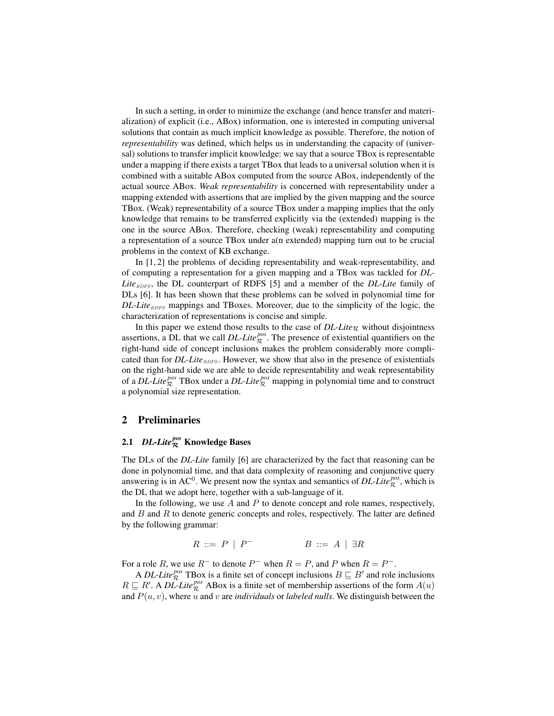In such a setting, in order to minimize the exchange (and hence transfer and materialization) of explicit (i.e., ABox) information, one is interested in computing universal solutions that contain as much implicit knowledge as possible. Therefore, the notion of *representability* was defined, which helps us in understanding the capacity of (universal) solutions to transfer implicit knowledge: we say that a source TBox is representable under a mapping if there exists a target TBox that leads to a universal solution when it is combined with a suitable ABox computed from the source ABox, independently of the actual source ABox. *Weak representability* is concerned with representability under a mapping extended with assertions that are implied by the given mapping and the source TBox. (Weak) representability of a source TBox under a mapping implies that the only knowledge that remains to be transferred explicitly via the (extended) mapping is the one in the source ABox. Therefore, checking (weak) representability and computing a representation of a source TBox under a(n extended) mapping turn out to be crucial problems in the context of KB exchange.

In [1, 2] the problems of deciding representability and weak-representability, and of computing a representation for a given mapping and a TBox was tackled for *DL-* $Like<sub>RDFS</sub>$ , the DL counterpart of RDFS [5] and a member of the *DL-Lite* family of DLs [6]. It has been shown that these problems can be solved in polynomial time for *DL-Lite*<sub>RDFS</sub> mappings and TBoxes. Moreover, due to the simplicity of the logic, the characterization of representations is concise and simple.

In this paper we extend those results to the case of  $DL\text{-}Lie_R$  without disjointness assertions, a DL that we call  $DL\text{-}Lie_{\mathcal{R}}^{pos}$ . The presence of existential quantifiers on the right-hand side of concept inclusions makes the problem considerably more complicated than for  $DL\text{-}Lie_{RDES}$ . However, we show that also in the presence of existentials on the right-hand side we are able to decide representability and weak representability of a *DL-Lite*<sup>*pos*</sup> TBox under a *DL-Lite*<sup>*pos*</sup> mapping in polynomial time and to construct a polynomial size representation.

## 2 Preliminaries

## 2.1 *DL-Lite pos* <sup>R</sup> Knowledge Bases

The DLs of the *DL-Lite* family [6] are characterized by the fact that reasoning can be done in polynomial time, and that data complexity of reasoning and conjunctive query answering is in AC<sup>0</sup>. We present now the syntax and semantics of *DL-Lite*<sup>*pos*</sup>, which is the DL that we adopt here, together with a sub-language of it.

In the following, we use  $A$  and  $P$  to denote concept and role names, respectively, and  $B$  and  $R$  to denote generic concepts and roles, respectively. The latter are defined by the following grammar:

> $R \ ::= \ P \ | \ P^{-}$  $B \ ::= A \ | \ \exists R$

For a role R, we use  $R^-$  to denote  $P^-$  when  $R = P$ , and P when  $R = P^-$ .

A *DL-Lite*<sup>*pos*</sup> TBox is a finite set of concept inclusions  $B \sqsubseteq B'$  and role inclusions  $R \subseteq R'$ . A *DL-Lite*<sup>*pos*</sup> ABox is a finite set of membership assertions of the form  $A(u)$ and  $P(u, v)$ , where u and v are *individuals* or *labeled nulls*. We distinguish between the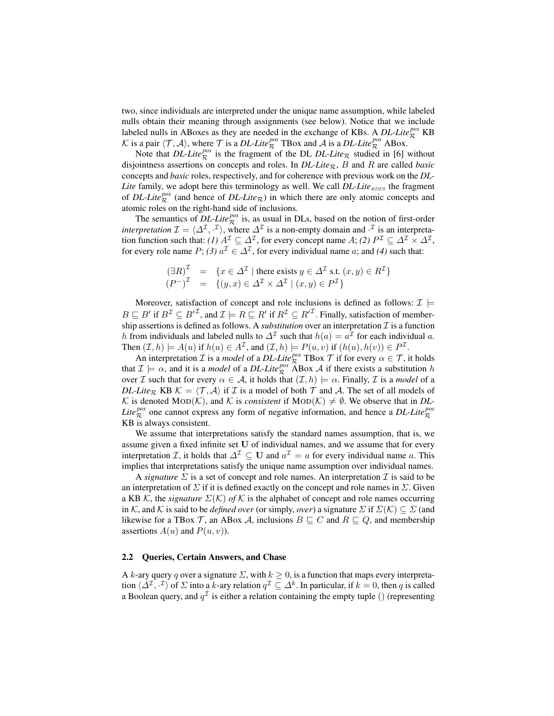two, since individuals are interpreted under the unique name assumption, while labeled nulls obtain their meaning through assignments (see below). Notice that we include labeled nulls in ABoxes as they are needed in the exchange of KBs. A  $DL\text{-}Life_R^{pos}$  KB K is a pair  $\langle T, A \rangle$ , where T is a *DL-Lite*<sup>*pos*</sup></sup> TBox and A is a *DL-Lite*<sup>*pos*</sup> ABox.

Note that *DL-Lite*<sup>*pos*</sup> is the fragment of the DL *DL-Lite*<sub>R</sub> studied in [6] without disjointness assertions on concepts and roles. In  $DL\text{-}Life_R$ , B and R are called *basic* concepts and *basic* roles, respectively, and for coherence with previous work on the *DL-Lite* family, we adopt here this terminology as well. We call *DL-Lite*<sub>RDFS</sub> the fragment of *DL-Lite*<sup>pos</sup> (and hence of *DL-Lite*<sub>R</sub>) in which there are only atomic concepts and atomic roles on the right-hand side of inclusions.

The semantics of  $DL\text{-}Lie^{pos}_{\mathcal{R}}$  is, as usual in DLs, based on the notion of first-order *interpretation*  $\mathcal{I} = \langle \Delta^{\mathcal{I}}, \cdot^{\mathcal{I}} \rangle$ , where  $\Delta^{\mathcal{I}}$  is a non-empty domain and  $\cdot^{\mathcal{I}}$  is an interpretation function such that: *(1)*  $A^{\mathcal{I}} \subseteq \Delta^{\mathcal{I}}$ , for every concept name  $A$ ; *(2)*  $P^{\mathcal{I}} \subseteq \Delta^{\mathcal{I}} \times \Delta^{\mathcal{I}}$ , for every role name  $P$ ; *(3)*  $a^{\mathcal{I}} \in \Delta^{\mathcal{I}}$ , for every individual name *a*; and *(4)* such that:

$$
(\exists R)^{\mathcal{I}} = \{x \in \Delta^{\mathcal{I}} \mid \text{there exists } y \in \Delta^{\mathcal{I}} \text{ s.t. } (x, y) \in R^{\mathcal{I}}\}
$$

$$
(P^{-})^{\mathcal{I}} = \{(y, x) \in \Delta^{\mathcal{I}} \times \Delta^{\mathcal{I}} \mid (x, y) \in P^{\mathcal{I}}\}
$$

Moreover, satisfaction of concept and role inclusions is defined as follows:  $\mathcal{I} \models$  $B \sqsubseteq B'$  if  $B^{\mathcal{I}} \subseteq B'^{\mathcal{I}}$ , and  $\mathcal{I} \models R \sqsubseteq R'$  if  $R^{\mathcal{I}} \subseteq R'^{\mathcal{I}}$ . Finally, satisfaction of membership assertions is defined as follows. A *substitution* over an interpretation  $I$  is a function h from individuals and labeled nulls to  $\Delta^{\mathcal{I}}$  such that  $h(a) = a^{\mathcal{I}}$  for each individual a. Then  $(\mathcal{I}, h) \models A(u)$  if  $h(u) \in A^{\mathcal{I}}$ , and  $(\mathcal{I}, h) \models P(u, v)$  if  $(h(u), h(v)) \in P^{\mathcal{I}}$ .

An interpretation *I* is a *model* of a *DL-Lite*<sup>*pos</sup>*  $\overline{T}$  *H* for every  $\alpha \in \mathcal{T}$ , it holds</sup> that  $\mathcal{I} \models \alpha$ , and it is a *model* of a *DL-Lite*<sup>*pos*</sup> ABox A if there exists a substitution h over *I* such that for every  $\alpha \in A$ , it holds that  $(I, h) \models \alpha$ . Finally, *I* is a *model* of a *DL-Lite*<sub>R</sub> KB  $K = \langle T, A \rangle$  if I is a model of both T and A. The set of all models of K is denoted MOD(K), and K is *consistent* if  $MOD(K) \neq \emptyset$ . We observe that in *DL*-*Lite*<sup> $pos$ </sup> one cannot express any form of negative information, and hence a *DL-Lite*<sup> $pos$ </sup> KB is always consistent.

We assume that interpretations satisfy the standard names assumption, that is, we assume given a fixed infinite set U of individual names, and we assume that for every interpretation *I*, it holds that  $\Delta^{\mathcal{I}} \subseteq \mathbf{U}$  and  $a^{\mathcal{I}} = a$  for every individual name *a*. This implies that interpretations satisfy the unique name assumption over individual names.

A *signature*  $\Sigma$  is a set of concept and role names. An interpretation  $\mathcal I$  is said to be an interpretation of  $\Sigma$  if it is defined exactly on the concept and role names in  $\Sigma$ . Given a KB K, the *signature*  $\Sigma(K)$  *of* K is the alphabet of concept and role names occurring in K, and K is said to be *defined over* (or simply, *over*) a signature  $\Sigma$  if  $\Sigma(K) \subseteq \Sigma$  (and likewise for a TBox T, an ABox A, inclusions  $B \sqsubseteq C$  and  $R \sqsubseteq Q$ , and membership assertions  $A(u)$  and  $P(u, v)$ ).

## 2.2 Queries, Certain Answers, and Chase

A k-ary query q over a signature  $\Sigma$ , with  $k > 0$ , is a function that maps every interpretation  $\langle \Delta^{\mathcal{I}}, \cdot^{\mathcal{I}}\rangle$  of  $\Sigma$  into a k-ary relation  $q^{\mathcal{I}}\subseteq \Delta^k$ . In particular, if  $k=0$ , then  $q$  is called a Boolean query, and  $q^{\mathcal{I}}$  is either a relation containing the empty tuple () (representing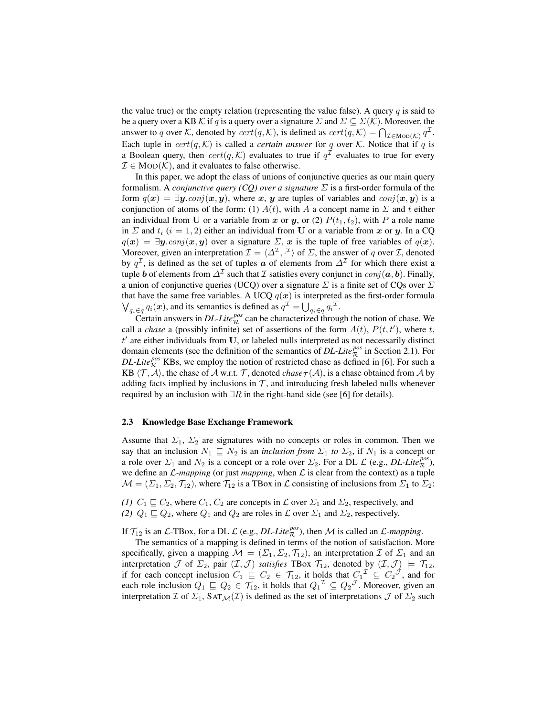the value true) or the empty relation (representing the value false). A query  $q$  is said to be a query over a KB K if q is a query over a signature  $\Sigma$  and  $\Sigma \subseteq \Sigma(\mathcal{K})$ . Moreover, the answer to q over K, denoted by  $cert(q, K)$ , is defined as  $cert(q, K) = \bigcap_{\mathcal{I} \in \text{MOD}(K)} q^{\mathcal{I}}$ . Each tuple in  $cert(q, K)$  is called a *certain answer* for q over K. Notice that if q is a Boolean query, then  $cert(q, \mathcal{K})$  evaluates to true if  $q^{\mathcal{I}}$  evaluates to true for every  $\mathcal{I} \in \text{MOD}(\mathcal{K})$ , and it evaluates to false otherwise.

In this paper, we adopt the class of unions of conjunctive queries as our main query formalism. A *conjunctive query (CQ) over a signature*  $\Sigma$  is a first-order formula of the form  $q(x) = \exists y \cdot conj(x, y)$ , where x, y are tuples of variables and  $conj(x, y)$  is a conjunction of atoms of the form: (1)  $A(t)$ , with A a concept name in  $\Sigma$  and t either an individual from U or a variable from x or y, or (2)  $P(t_1, t_2)$ , with P a role name in  $\Sigma$  and  $t_i$  (i = 1, 2) either an individual from U or a variable from x or y. In a CQ  $q(x) = \exists y \text{.conj}(x, y)$  over a signature  $\Sigma$ , x is the tuple of free variables of  $q(x)$ . Moreover, given an interpretation  $\mathcal{I} = \langle \Delta^{\mathcal{I}}, \cdot^{\mathcal{I}} \rangle$  of  $\Sigma$ , the answer of q over  $\mathcal{I}$ , denoted by  $q^{\mathcal{I}}$ , is defined as the set of tuples  $\boldsymbol{a}$  of elements from  $\Delta^{\mathcal{I}}$  for which there exist a tuple b of elements from  $\Delta^{\mathcal{I}}$  such that  $\mathcal I$  satisfies every conjunct in  $conj(\bm a, \bm b).$  Finally, a union of conjunctive queries (UCQ) over a signature  $\Sigma$  is a finite set of CQs over  $\Sigma$ that have the same free variables. A UCQ  $q(x)$  is interpreted as the first-order formula  $\bigvee_{q_i \in q} q_i(\boldsymbol{x})$ , and its semantics is defined as  $q^{\mathcal{I}} = \bigcup_{q_i \in q} q_i^{\mathcal{I}}$ .

Certain answers in *DL-Lite*<sup> $pos$ </sup> can be characterized through the notion of chase. We call a *chase* a (possibly infinite) set of assertions of the form  $A(t)$ ,  $P(t, t')$ , where t,  $t'$  are either individuals from U, or labeled nulls interpreted as not necessarily distinct domain elements (see the definition of the semantics of *DL-Lite*<sup> $pos$ </sup> in Section 2.1). For *DL-Lite*<sup> $pos$ </sup> KBs, we employ the notion of restricted chase as defined in [6]. For such a KB  $\langle \mathcal{T}, \mathcal{A} \rangle$ , the chase of A w.r.t. T, denoted *chase* $\tau(\mathcal{A})$ , is a chase obtained from A by adding facts implied by inclusions in  $\mathcal{T}$ , and introducing fresh labeled nulls whenever required by an inclusion with  $\exists R$  in the right-hand side (see [6] for details).

## 2.3 Knowledge Base Exchange Framework

Assume that  $\Sigma_1$ ,  $\Sigma_2$  are signatures with no concepts or roles in common. Then we say that an inclusion  $N_1 \subseteq N_2$  is an *inclusion from*  $\Sigma_1$  *to*  $\Sigma_2$ , if  $N_1$  is a concept or a role over  $\Sigma_1$  and  $N_2$  is a concept or a role over  $\Sigma_2$ . For a DL  $\mathcal L$  (e.g., *DL-Lite*<sup>*pos*</sup></sup>), we define an  $\mathcal{L}$ -mapping (or just *mapping*, when  $\mathcal{L}$  is clear from the context) as a tuple  $M = (\Sigma_1, \Sigma_2, \mathcal{T}_{12})$ , where  $\mathcal{T}_{12}$  is a TBox in  $\mathcal L$  consisting of inclusions from  $\Sigma_1$  to  $\Sigma_2$ :

*(1)*  $C_1 \sqsubseteq C_2$ , where  $C_1$ ,  $C_2$  are concepts in  $\mathcal L$  over  $\Sigma_1$  and  $\Sigma_2$ , respectively, and *(2)*  $Q_1 \sqsubseteq Q_2$ , where  $Q_1$  and  $Q_2$  are roles in  $\mathcal L$  over  $\Sigma_1$  and  $\Sigma_2$ , respectively.

If  $\mathcal{T}_{12}$  is an *L*-TBox, for a DL *L* (e.g., *DL-Lite*<sup>*pos*</sup>), then *M* is called an *L*-mapping.

The semantics of a mapping is defined in terms of the notion of satisfaction. More specifically, given a mapping  $\mathcal{M} = (\Sigma_1, \Sigma_2, \mathcal{T}_{12})$ , an interpretation  $\mathcal I$  of  $\Sigma_1$  and an interpretation  $\mathcal J$  of  $\Sigma_2$ , pair  $(\mathcal I,\mathcal J)$  *satisfies* TBox  $\mathcal T_{12}$ , denoted by  $(\mathcal I,\mathcal J)\models \mathcal T_{12}$ , if for each concept inclusion  $C_1 \subseteq C_2 \in \mathcal{T}_{12}$ , it holds that  $C_1^{\mathcal{T}} \subseteq C_2^{\mathcal{J}}$ , and for each role inclusion  $Q_1 \sqsubseteq Q_2 \in \mathcal{T}_{12}$ , it holds that  $Q_1{}^{\mathcal{I}} \subseteq Q_2{}^{\mathcal{J}}$ . Moreover, given an interpretation  $\mathcal I$  of  $\Sigma_1$ ,  $\text{SAT}_\mathcal{M}(\mathcal I)$  is defined as the set of interpretations  $\mathcal J$  of  $\Sigma_2$  such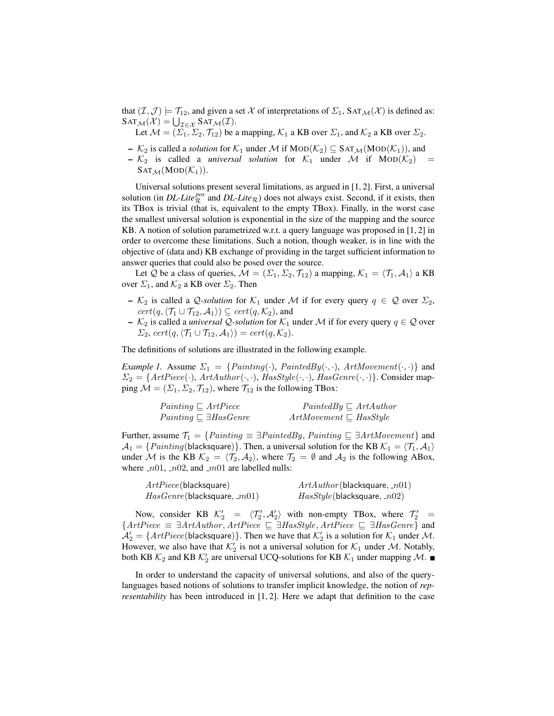that  $(\mathcal{I},\mathcal{J}) \models \mathcal{T}_{12}$ , and given a set X of interpretations of  $\Sigma_1$ , SAT $\mathcal{M}(\mathcal{X})$  is defined as:  $\text{SAT}_{\mathcal{M}}(\mathcal{X}) = \bigcup_{\mathcal{I} \in \mathcal{X}} \text{SAT}_{\mathcal{M}}(\mathcal{I}).$ 

Let  $\mathcal{M} = (\Sigma_1, \Sigma_2, \mathcal{T}_{12})$  be a mapping,  $\mathcal{K}_1$  a KB over  $\Sigma_1$ , and  $\mathcal{K}_2$  a KB over  $\Sigma_2$ .

- $\mathcal{K}_2$  is called a *solution* for  $\mathcal{K}_1$  under M if  $\text{MOD}(\mathcal{K}_2) \subseteq \text{SAT}_{\mathcal{M}}(\text{MOD}(\mathcal{K}_1))$ , and
- $-$  K<sub>2</sub> is called a *universal solution* for K<sub>1</sub> under M if MOD(K<sub>2</sub>)  $SAT_{\mathcal{M}}(MOD(\mathcal{K}_1)).$

Universal solutions present several limitations, as argued in [1, 2]. First, a universal solution (in *DL-Lite*<sup> $pos$ </sup> and *DL-Lite*<sub> $\mathcal{R}$ ) does not always exist. Second, if it exists, then</sub> its TBox is trivial (that is, equivalent to the empty TBox). Finally, in the worst case the smallest universal solution is exponential in the size of the mapping and the source KB. A notion of solution parametrized w.r.t. a query language was proposed in [1, 2] in order to overcome these limitations. Such a notion, though weaker, is in line with the objective of (data and) KB exchange of providing in the target sufficient information to answer queries that could also be posed over the source.

Let Q be a class of queries,  $M = (\Sigma_1, \Sigma_2, \mathcal{T}_{12})$  a mapping,  $\mathcal{K}_1 = \langle \mathcal{T}_1, \mathcal{A}_1 \rangle$  a KB over  $\Sigma_1$ , and  $\mathcal{K}_2$  a KB over  $\Sigma_2$ . Then

- $-$  K<sub>2</sub> is called a *Q-solution* for K<sub>1</sub> under M if for every query  $q \in \mathcal{Q}$  over  $\Sigma_2$ ,  $cert(q, \langle \mathcal{T}_1 \cup \mathcal{T}_{12}, \mathcal{A}_1 \rangle) \subseteq cert(q, \mathcal{K}_2)$ , and
- $−$  K<sub>2</sub> is called a *universal*  $Q$ -solution for K<sub>1</sub> under M if for every query  $q \in Q$  over  $\Sigma_2$ , cert $(q, \langle \mathcal{T}_1 \cup \mathcal{T}_{12}, \mathcal{A}_1 \rangle) = cert(q, \mathcal{K}_2).$

The definitions of solutions are illustrated in the following example.

*Example 1.* Assume  $\Sigma_1 = \{Painting(\cdot), \text{PaintedBy}(\cdot, \cdot), \text{ArtMovement}(\cdot, \cdot) \}$  and  $\Sigma_2 = \{ArtPiece(\cdot), ArtAuthor(\cdot, \cdot), HasStyle(\cdot, \cdot), HasGene(\cdot, \cdot)\}.$  Consider mapping  $\mathcal{M} = (\Sigma_1, \Sigma_2, \mathcal{T}_{12})$ , where  $\mathcal{T}_{12}$  is the following TBox:

| $Painting \sqsubseteq ArtPiece$         | $PaintedBy \sqsubseteq ArtAuthor$  |
|-----------------------------------------|------------------------------------|
| $Painting \sqsubseteq \exists HasGenre$ | $ArtMovement \sqsubseteq HasStyle$ |

Further, assume  $\mathcal{T}_1 = \{Painting \equiv \exists PaintedBy, Painting \sqsubseteq \exists ArtMovement\}$  and  $A_1 = \{Painting(\text{blacksquare})\}.$  Then, a universal solution for the KB  $\mathcal{K}_1 = \langle \mathcal{T}_1, \mathcal{A}_1 \rangle$ under M is the KB  $\mathcal{K}_2 = \langle \mathcal{T}_2, \mathcal{A}_2 \rangle$ , where  $\mathcal{T}_2 = \emptyset$  and  $\mathcal{A}_2$  is the following ABox, where  $n=01$ ,  $n=02$ , and  $m=01$  are labelled nulls:

| ArtPiece(blacksquare)              | ArtAuthor(blacksquare, n01)       |
|------------------------------------|-----------------------------------|
| $HasGenre$ (blacksquare, $\_m01$ ) | $HasStyle$ (blacksquare, $_n02$ ) |

Now, consider KB  $\mathcal{K}'_2 = \langle \mathcal{T}'_2, \mathcal{A}'_2 \rangle$  with non-empty TBox, where  $\mathcal{T}'_2 =$  ${ArtPiece} \equiv \exists ArtAuthor, ArtPiece \sqsubseteq \exists HasStyle, ArtPiece \sqsubseteq \exists HasGenre}$  and  $\mathcal{A}'_2 = \{ArtPiece(\text{blacksquare})\}.$  Then we have that  $\mathcal{K}'_2$  is a solution for  $\mathcal{K}_1$  under  $\mathcal{M}$ . However, we also have that  $\mathcal{K}_2'$  is not a universal solution for  $\mathcal{K}_1$  under M. Notably, both KB  $\mathcal{K}_2$  and KB  $\mathcal{K}_2'$  are universal UCQ-solutions for KB  $\mathcal{K}_1$  under mapping M.

In order to understand the capacity of universal solutions, and also of the querylanguages based notions of solutions to transfer implicit knowledge, the notion of *representability* has been introduced in [1, 2]. Here we adapt that definition to the case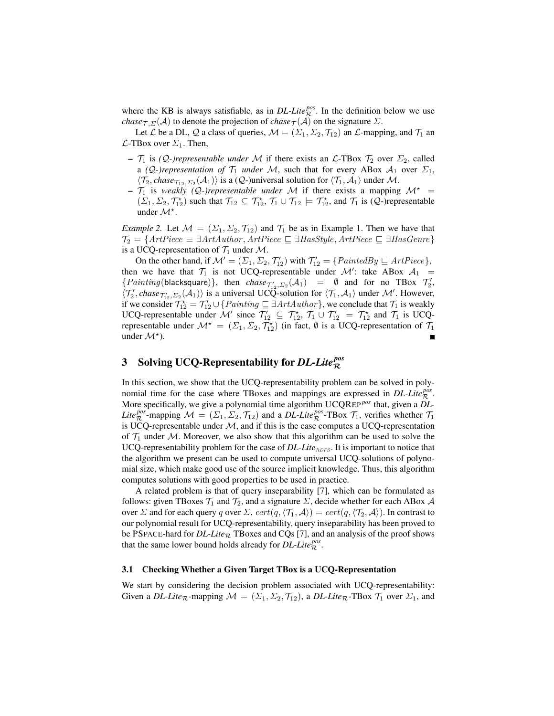where the KB is always satisfiable, as in  $DL\text{-}Life_{\mathcal{R}}^{pos}$ . In the definition below we use *chase* $\tau$ , $\Sigma(A)$  to denote the projection of *chase* $\tau(A)$  on the signature  $\Sigma$ .

Let L be a DL, Q a class of queries,  $M = (\Sigma_1, \Sigma_2, \mathcal{T}_{12})$  an L-mapping, and  $\mathcal{T}_1$  an  $\mathcal{L}\text{-}\text{TBox over }\Sigma_1$ . Then,

- $\mathcal{T}_1$  is *(Q-)representable under* M if there exists an  $\mathcal{L}\text{-}\text{TBox } \mathcal{T}_2$  over  $\Sigma_2$ , called a *(Q-)representation of*  $\mathcal{T}_1$  *under* M, such that for every ABox  $\mathcal{A}_1$  over  $\Sigma_1$ ,  $\langle \mathcal{T}_2, \text{chase}_{\mathcal{T}_{12},\Sigma_2}(\mathcal{A}_1) \rangle$  is a (*Q*-)universal solution for  $\langle \mathcal{T}_1, \mathcal{A}_1 \rangle$  under *M*.
- $\mathcal{T}_1$  is *weakly (Q-)representable under* M if there exists a mapping  $\mathcal{M}^*$  =  $(\Sigma_1, \Sigma_2, \mathcal{T}_{12}^{\star})$  such that  $\mathcal{T}_{12} \subseteq \mathcal{T}_{12}^{\star}$ ,  $\mathcal{T}_1 \cup \mathcal{T}_{12} \models \mathcal{T}_{12}^{\star}$ , and  $\mathcal{T}_1$  is  $(\mathcal{Q}\text{-})$ representable under  $\mathcal{M}^*$ .

*Example 2.* Let  $M = (\Sigma_1, \Sigma_2, \mathcal{T}_{12})$  and  $\mathcal{T}_1$  be as in Example 1. Then we have that  $\mathcal{T}_2 = \{ArtPiece \equiv \exists ArtAuthor, ArtPiece \sqsubseteq \exists HasStyle, ArtPiece \sqsubseteq \exists HasGene\}$ is a UCQ-representation of  $\mathcal{T}_1$  under M.

On the other hand, if  $\mathcal{M}' = (\Sigma_1, \Sigma_2, \mathcal{T}'_{12})$  with  $\mathcal{T}'_{12} = \{PaintedBy \sqsubseteq ArtPiece\}$ , then we have that  $\mathcal{T}_1$  is not UCQ-representable under  $\mathcal{M}'$ : take ABox  $\mathcal{A}_1$  =  ${Painting(\text{blacksquare})}, \text{ then } \text{chase}_{\mathcal{T}_{12}',\Sigma_2}(\mathcal{A}_1) = \emptyset \text{ and for no TBox } \mathcal{T}_2',$  $\langle \mathcal{T}_2', \text{chase}_{\mathcal{T}_{12}',\Sigma_2}(\mathcal{A}_1) \rangle$  is a universal UCQ-solution for  $\langle \mathcal{T}_1, \mathcal{A}_1 \rangle$  under M'. However, if we consider  $\mathcal{T}_{12}^* = \mathcal{T}_{12}' \cup \{Pairting \sqsubseteq \exists ArtAuthor\}$ , we conclude that  $\mathcal{T}_1$  is weakly UCQ-representable under M' since  $\mathcal{T}'_{12} \subseteq \mathcal{T}_{12}^*, \mathcal{T}_1 \cup \mathcal{T}'_{12} \models \mathcal{T}_{12}^*$  and  $\mathcal{T}_1$  is UCQrepresentable under  $\mathcal{M}^* = (\Sigma_1, \Sigma_2, \mathcal{T}_{12}^*)$  (in fact,  $\emptyset$  is a UCQ-representation of  $\mathcal{T}_1$ under  $\mathcal{M}^*$ ).

# 3 Solving UCQ-Representability for *DL-Lite pos* R

In this section, we show that the UCQ-representability problem can be solved in polynomial time for the case where TBoxes and mappings are expressed in  $DL\text{-}Lie_R^{pos}$ . More specifically, we give a polynomial time algorithm UCQREP *pos* that, given a *DL-Lite*<sup>*pos*</sup>-mapping  $M = (\Sigma_1, \Sigma_2, \mathcal{T}_{12})$  and a *DL-Lite*<sup>*pos*</sup>-TBox  $\mathcal{T}_1$ , verifies whether  $\mathcal{T}_1$ is UCQ-representable under  $M$ , and if this is the case computes a UCQ-representation of  $\mathcal{T}_1$  under M. Moreover, we also show that this algorithm can be used to solve the UCQ-representability problem for the case of *DL-Lite*<sub>RDFS</sub>. It is important to notice that the algorithm we present can be used to compute universal UCQ-solutions of polynomial size, which make good use of the source implicit knowledge. Thus, this algorithm computes solutions with good properties to be used in practice.

A related problem is that of query inseparability [7], which can be formulated as follows: given TBoxes  $\mathcal{T}_1$  and  $\mathcal{T}_2$ , and a signature  $\Sigma$ , decide whether for each ABox A over  $\Sigma$  and for each query q over  $\Sigma$ ,  $cert(q, \langle \mathcal{T}_1, \mathcal{A} \rangle) = cert(q, \langle \mathcal{T}_2, \mathcal{A} \rangle)$ . In contrast to our polynomial result for UCQ-representability, query inseparability has been proved to be PSPACE-hard for  $DL\text{-}Like_{\mathcal{R}}$  TBoxes and CQs [7], and an analysis of the proof shows that the same lower bound holds already for  $DL\text{-}Life_{\mathcal{R}}^{pos}$ .

#### 3.1 Checking Whether a Given Target TBox is a UCQ-Representation

We start by considering the decision problem associated with UCQ-representability: Given a *DL-Lite*<sub>R</sub>-mapping  $M = (\Sigma_1, \Sigma_2, \mathcal{T}_{12})$ , a *DL-Lite*<sub>R</sub>-TBox  $\mathcal{T}_1$  over  $\Sigma_1$ , and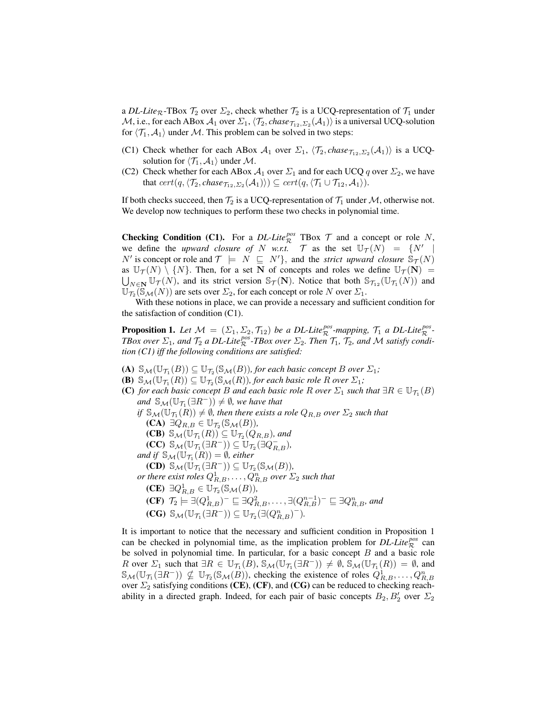a *DL-Lite*<sub>R</sub>-TBox  $\mathcal{T}_2$  over  $\Sigma_2$ , check whether  $\mathcal{T}_2$  is a UCQ-representation of  $\mathcal{T}_1$  under  $\cal M$ , i.e., for each ABox  ${\cal A}_1$  over  $\Sigma_1, \langle \mathcal{T}_2, \mathit{chase}_{\mathcal{T}_{12},\Sigma_2}(\mathcal{A}_1)\rangle$  is a universal UCQ-solution for  $\langle \mathcal{T}_1, \mathcal{A}_1 \rangle$  under M. This problem can be solved in two steps:

- (C1) Check whether for each ABox  $A_1$  over  $\Sigma_1$ ,  $\langle \mathcal{T}_2$ , *chase* $\tau_{12},\Sigma_2(\mathcal{A}_1)\rangle$  is a UCQsolution for  $\langle \mathcal{T}_1, \mathcal{A}_1 \rangle$  under M.
- (C2) Check whether for each ABox  $A_1$  over  $\Sigma_1$  and for each UCQ q over  $\Sigma_2$ , we have that  $cert(q,\langle \mathcal{T}_2,chase_{\mathcal{T}_{12},\Sigma_2}(\mathcal{A}_1)\rangle)\subseteq cert(q,\langle \mathcal{T}_1\cup \mathcal{T}_{12}, \mathcal{A}_1\rangle).$

If both checks succeed, then  $\mathcal{T}_2$  is a UCQ-representation of  $\mathcal{T}_1$  under M, otherwise not. We develop now techniques to perform these two checks in polynomial time.

**Checking Condition (C1).** For a *DL-Lite*<sup>*pos*</sup> TBox  $\mathcal T$  and a concept or role N, we define the *upward closure of* N *w.r.t.* T as the set  $\mathbb{U}_{\mathcal{T}}(N) = \{N' \mid$ N' is concept or role and  $\mathcal{T} \models N \subseteq N'$ , and the *strict upward closure*  $\mathbb{S}_{\mathcal{T}}(N)$ as  $\mathbb{U}_{\mathcal{T}}(N) \setminus \{N\}$ . Then, for a set N of concepts and roles we define  $\mathbb{U}_{\mathcal{T}}(N) =$  $\bigcup_{N\in\mathbf{N}}\mathbb{U}_{\mathcal{T}}(N)$ , and its strict version  $\mathbb{S}_{\mathcal{T}}(\mathbf{N})$ . Notice that both  $\mathbb{S}_{\mathcal{T}_{12}}(\mathbb{U}_{\mathcal{T}_1}(N))$  and  $\mathbb{U}_{\mathcal{T}_2}(\mathbb{S}_{\mathcal{M}}(N))$  are sets over  $\Sigma_2$ , for each concept or role N over  $\Sigma_1$ .

With these notions in place, we can provide a necessary and sufficient condition for the satisfaction of condition (C1).

**Proposition 1.** Let  $\mathcal{M} = (\Sigma_1, \Sigma_2, \mathcal{T}_{12})$  be a DL-Lite<sup>pos</sup>-mapping,  $\mathcal{T}_1$  a DL-Lite<sup>pos</sup>-*TBox over*  $\Sigma_1$ *, and*  $\mathcal{T}_2$  *a DL-Lite*<sup>*pos*</sup>-*TBox over*  $\Sigma_2$ *. Then*  $\mathcal{T}_1$ *,*  $\mathcal{T}_2$ *, and M satisfy condition (C1) iff the following conditions are satisfied:*

- (A)  $\mathbb{S}_{\mathcal{M}}(\mathbb{U}_{\mathcal{T}_1}(B)) \subseteq \mathbb{U}_{\mathcal{T}_2}(\mathbb{S}_{\mathcal{M}}(B))$ , for each basic concept B over  $\Sigma_1$ ;
- **(B)**  $\mathbb{S}_{\mathcal{M}}(\mathbb{U}_{\mathcal{T}_1}(R)) \subseteq \mathbb{U}_{\mathcal{T}_2}(\mathbb{S}_{\mathcal{M}}(R))$ , for each basic role R over  $\Sigma_1$ ;
- (C) for each basic concept B and each basic role R over  $\Sigma_1$  such that  $\exists R \in \mathbb{U}_{\mathcal{T}_1}(B)$ and  $\mathbb{S}_{\mathcal{M}}(\mathbb{U}_{\mathcal{T}_1}(\exists R^-)) \neq \emptyset$ , we have that if  $\mathbb{S}_{\mathcal{M}}(\mathbb{U}_{\mathcal{T}_1}(R)) \neq \emptyset$ , then there exists a role  $Q_{R,B}$  over  $\Sigma_2$  such that  $(CA) \exists Q_{R,B} \in \mathbb{U}_{\mathcal{T}_2}(\mathbb{S}_{\mathcal{M}}(B)),$ **(CB)**  $\mathbb{S}_{\mathcal{M}}(\mathbb{U}_{\mathcal{T}_1}(R)) \subseteq \mathbb{U}_{\mathcal{T}_2}(Q_{R,B})$ , and  $(\mathbf{CC}) \ \mathbb{S}_{\mathcal{M}}(\mathbb{U}_{\mathcal{T}_1}(\exists R^-)) \subseteq \mathbb{U}_{\mathcal{T}_2}(\exists Q^-_{R,B}),$ and if  $\mathbb{S}_{\mathcal{M}}(\mathbb{U}_{\mathcal{T}_1}(R)) = \emptyset$ , either  $(CD)$   $\mathbb{S}_{\mathcal{M}}(\mathbb{U}_{\mathcal{T}_1}(\exists R^-)) \subseteq \mathbb{U}_{\mathcal{T}_2}(\mathbb{S}_{\mathcal{M}}(B)),$  $\rho$ r there exist roles  $Q_{R,B}^1,\ldots,Q_{R,B}^n$  over  $\Sigma_2$  such that  $(CE) \exists Q_{R,B}^1 \in \mathbb{U}_{\mathcal{T}_2}(\mathbb{S}_{\mathcal{M}}(B)),$  $(\mathbf{CF})$   $\mathcal{T}_2 \models \exists (Q_{R,B}^1)^-\sqsubseteq \exists Q_{R,B}^2,\ldots,\exists (Q_{R,B}^{n-1})^-\sqsubseteq \exists Q_{R,B}^n,$  and  $(\mathbf{CG}) \ S_M(\mathbb{U}_{\mathcal{T}_1}(\exists R^-)) \subseteq \mathbb{U}_{\mathcal{T}_2}(\exists (Q_{R,B}^n)^-)$ .

It is important to notice that the necessary and sufficient condition in Proposition 1 can be checked in polynomial time, as the implication problem for  $DL\text{-}Lie^{pos}_{\mathcal{R}}$  can be solved in polynomial time. In particular, for a basic concept  $B$  and a basic role R over  $\Sigma_1$  such that  $\exists R \in \mathbb{U}_{\mathcal{T}_1}(B)$ ,  $\mathbb{S}_{\mathcal{M}}(\mathbb{U}_{\mathcal{T}_1}(\exists R^-)) \neq \emptyset$ ,  $\mathbb{S}_{\mathcal{M}}(\mathbb{U}_{\mathcal{T}_1}(R)) = \emptyset$ , and  $\mathbb{S}_{\mathcal{M}}(\mathbb{U}_{\mathcal{T}_1}(\exists R^-)) \nsubseteq \mathbb{U}_{\mathcal{T}_2}(\mathbb{S}_{\mathcal{M}}(B))$ , checking the existence of roles  $Q_{R,B}^1, \ldots, Q_{R,B}^n$ over  $\Sigma_2$  satisfying conditions (CE), (CF), and (CG) can be reduced to checking reachability in a directed graph. Indeed, for each pair of basic concepts  $B_2, B_2'$  over  $\Sigma_2$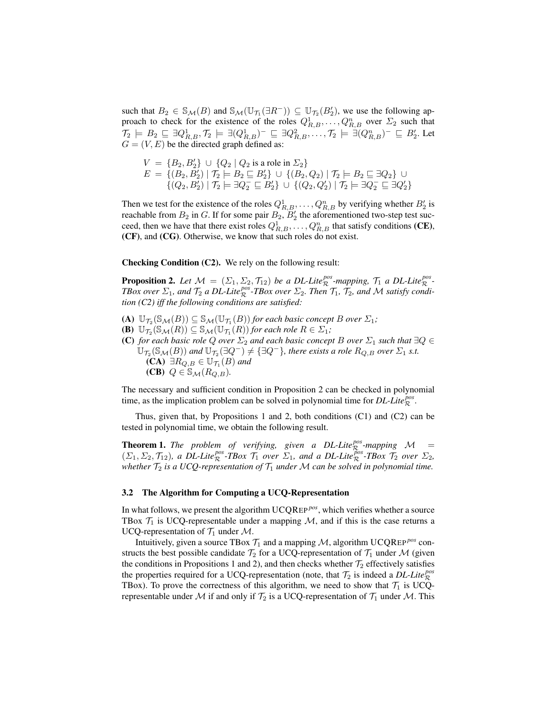such that  $B_2 \in \mathbb{S}_M(B)$  and  $\mathbb{S}_M(\mathbb{U}_{\mathcal{T}_1}(\exists R^-)) \subseteq \mathbb{U}_{\mathcal{T}_2}(B_2')$ , we use the following approach to check for the existence of the roles  $Q_{R,B}^1, \ldots, Q_{R,B}^n$  over  $\Sigma_2$  such that  $\mathcal{T}_2 \models B_2 \sqsubseteq \exists Q_{R,B}^1, \mathcal{T}_2 \models \exists (Q_{R,B}^1)^-\sqsubseteq \exists Q_{R,B}^2, \ldots, \mathcal{T}_2 \models \exists (Q_{R,B}^n)^-\sqsubseteq B_2'.$  Let  $G = (V, E)$  be the directed graph defined as:

$$
V = \{B_2, B'_2\} \cup \{Q_2 \mid Q_2 \text{ is a role in } \Sigma_2\}
$$
  

$$
E = \{(B_2, B'_2) \mid \mathcal{T}_2 \models B_2 \sqsubseteq B'_2\} \cup \{(B_2, Q_2) \mid \mathcal{T}_2 \models B_2 \sqsubseteq \exists Q_2\} \cup \{(Q_2, B'_2) \mid \mathcal{T}_2 \models \exists Q_2 \sqsubseteq B'_2\} \cup \{(Q_2, Q'_2) \mid \mathcal{T}_2 \models \exists Q_2 \sqsubseteq \exists Q'_2\}
$$

Then we test for the existence of the roles  $Q_{R,B}^1, \ldots, Q_{R,B}^n$  by verifying whether  $B_2'$  is reachable from  $B_2$  in G. If for some pair  $B_2$ ,  $B_2$  the aforementioned two-step test succeed, then we have that there exist roles  $Q_{R,B}^1, \ldots, Q_{R,B}^n$  that satisfy conditions (CE), (CF), and (CG). Otherwise, we know that such roles do not exist.

Checking Condition (C2). We rely on the following result:

**Proposition 2.** Let  $M = (\Sigma_1, \Sigma_2, \mathcal{T}_{12})$  be a DL-Lite<sup>pos</sup>-mapping,  $\mathcal{T}_1$  a DL-Lite<sup>pos</sup>-*TBox over*  $\Sigma_1$ *, and*  $\mathcal{T}_2$  *a DL-Lite*<sup>*pos*</sup>-*TBox over*  $\Sigma_2$ *. Then*  $\mathcal{T}_1$ *,*  $\mathcal{T}_2$ *, and M satisfy condition (C2) iff the following conditions are satisfied:*

- (A)  $\mathbb{U}_{\mathcal{T}_2}(\mathbb{S}_{\mathcal{M}}(B)) \subseteq \mathbb{S}_{\mathcal{M}}(\mathbb{U}_{\mathcal{T}_1}(B))$  *for each basic concept B over*  $\Sigma_1$ *;*
- **(B)**  $\mathbb{U}_{\mathcal{T}_2}(\mathbb{S}_{\mathcal{M}}(R)) \subseteq \mathbb{S}_{\mathcal{M}}(\mathbb{U}_{\mathcal{T}_1}(R))$  for each role  $R \in \Sigma_1$ ;
- (C) *for each basic role* Q *over*  $\Sigma_2$  *and each basic concept* B *over*  $\Sigma_1$  *such that*  $\exists Q \in$  $\overline{\cup}_{\mathcal{T}_2}(\mathbb{S}_{\mathcal{M}}(B))$  and  $\overline{\cup}_{\mathcal{T}_2}(\exists Q^-)\neq \{\exists Q^-\}$ , there exists a role  $R_{Q,B}$  over  $\Sigma_1$  s.t.  $(CA)$  ∃ $R_{Q,B}$  ∈  $\mathbb{U}_{\mathcal{T}_1}(B)$  and (CB)  $Q \in \mathbb{S}_{\mathcal{M}}(R_{Q,B})$ .

The necessary and sufficient condition in Proposition 2 can be checked in polynomial time, as the implication problem can be solved in polynomial time for  $DL\text{-}Life^{\text{pos}}_{\mathcal{R}}$ .

Thus, given that, by Propositions 1 and 2, both conditions (C1) and (C2) can be tested in polynomial time, we obtain the following result.

**Theorem 1.** The problem of verifying, given a DL-Lite $_{\mathcal{R}}^{pos}$ -mapping  $\mathcal{M}$  =  $(\Sigma_1, \Sigma_2, \mathcal{T}_{12})$ , a DL-Lite<sup>pos</sup>-TBox  $\mathcal{T}_1$  over  $\Sigma_1$ , and a DL-Lite<sup>pos</sup>-TBox  $\mathcal{T}_2$  over  $\Sigma_2$ , *whether*  $\mathcal{T}_2$  *is a UCQ-representation of*  $\mathcal{T}_1$  *under*  $\mathcal{M}$  *can be solved in polynomial time.* 

#### 3.2 The Algorithm for Computing a UCQ-Representation

In what follows, we present the algorithm UCQREP<sup>pos</sup>, which verifies whether a source TBox  $\mathcal{T}_1$  is UCQ-representable under a mapping  $\mathcal{M}$ , and if this is the case returns a UCQ-representation of  $\mathcal{T}_1$  under M.

Intuitively, given a source TBox  $T_1$  and a mapping  $M$ , algorithm UCQREP<sup>*pos*</sup> constructs the best possible candidate  $\mathcal{T}_2$  for a UCQ-representation of  $\mathcal{T}_1$  under M (given the conditions in Propositions 1 and 2), and then checks whether  $\mathcal{T}_2$  effectively satisfies the properties required for a UCQ-representation (note, that  $\mathcal{T}_2$  is indeed a *DL-Lite*<sup>*pos*</sup> TBox). To prove the correctness of this algorithm, we need to show that  $\mathcal{T}_1$  is UCQrepresentable under M if and only if  $\mathcal{T}_2$  is a UCQ-representation of  $\mathcal{T}_1$  under M. This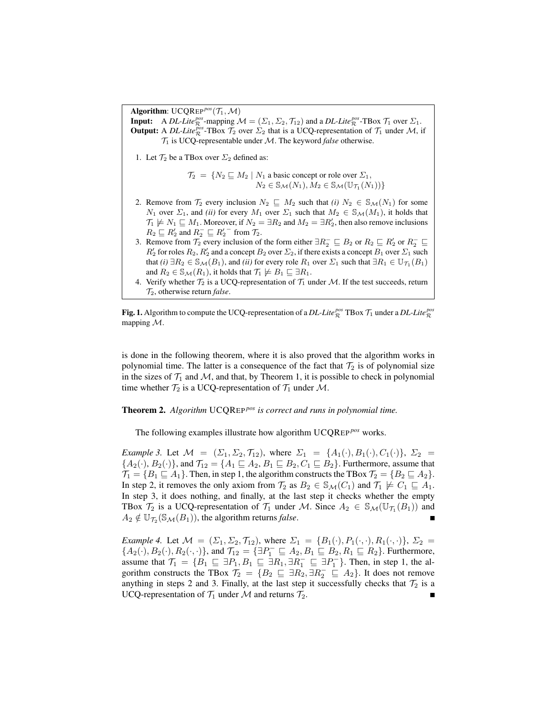Algorithm:  $UCQRep<sup>pos</sup>(\mathcal{T}_1,\mathcal{M})$ **Input:** A *DL-Lite*<sup>*pos*</sup></sup>-mapping  $\mathcal{M} = (\Sigma_1, \Sigma_2, \mathcal{T}_{12})$  and a *DL-Lite*<sup>*pos*</sup>-TBox  $\mathcal{T}_1$  over  $\Sigma_1$ . **Output:** A *DL-Lite*  $\frac{p\delta s}{R}$ -TBox  $\mathcal{T}_2$  over  $\Sigma_2$  that is a UCQ-representation of  $\mathcal{T}_1$  under M, if  $\mathcal{T}_1$  is UCQ-representable under M. The keyword *false* otherwise.

1. Let  $\mathcal{T}_2$  be a TBox over  $\Sigma_2$  defined as:

$$
\mathcal{T}_2 = \{ N_2 \sqsubseteq M_2 \mid N_1 \text{ a basic concept or role over } \Sigma_1, \\ N_2 \in \mathbb{S}_{\mathcal{M}}(N_1), M_2 \in \mathbb{S}_{\mathcal{M}}(\mathbb{U}_{\mathcal{T}_1}(N_1)) \}
$$

- 2. Remove from  $\mathcal{T}_2$  every inclusion  $N_2 \subseteq M_2$  such that *(i)*  $N_2 \in \mathcal{S}_{\mathcal{M}}(N_1)$  for some N<sub>1</sub> over  $\Sigma_1$ , and *(ii)* for every  $M_1$  over  $\Sigma_1$  such that  $M_2 \in \mathcal{S}_{\mathcal{M}}(M_1)$ , it holds that  $\mathcal{T}_1 \not\models N_1 \sqsubseteq M_1$ . Moreover, if  $N_2 = \exists R_2$  and  $M_2 = \exists R'_2$ , then also remove inclusions  $R_2 \sqsubseteq R_2'$  and  $R_2^- \sqsubseteq R_2'^-$  from  $\mathcal{T}_2$ .
- 3. Remove from  $\mathcal{T}_2$  every inclusion of the form either  $\exists R_2^- \sqsubseteq B_2$  or  $R_2 \sqsubseteq R'_2$  or  $R_2^- \sqsubseteq$  $R'_2$  for roles  $R_2, R'_2$  and a concept  $B_2$  over  $\Sigma_2$ , if there exists a concept  $B_1$  over  $\Sigma_1$  such that *(i)*  $\exists R_2 \in \mathbb{S}_{\mathcal{M}}(B_1)$ , and *(ii)* for every role  $R_1$  over  $\Sigma_1$  such that  $\exists R_1 \in \mathbb{U}_{\mathcal{T}_1}(B_1)$ and  $R_2 \in \mathcal{S}_{\mathcal{M}}(R_1)$ , it holds that  $\mathcal{T}_1 \not\models B_1 \sqsubseteq \exists R_1$ .
- 4. Verify whether  $\mathcal{T}_2$  is a UCQ-representation of  $\mathcal{T}_1$  under M. If the test succeeds, return T2, otherwise return *false*.

Fig. 1. Algorithm to compute the UCQ-representation of a *DL-Lite*<sup> $pos$ </sup> TBox  $\mathcal{T}_1$  under a *DL-Lite*<sup> $pos$ </sup> mapping M.

is done in the following theorem, where it is also proved that the algorithm works in polynomial time. The latter is a consequence of the fact that  $\mathcal{T}_2$  is of polynomial size in the sizes of  $\mathcal{T}_1$  and  $\mathcal{M}$ , and that, by Theorem 1, it is possible to check in polynomial time whether  $\mathcal{T}_2$  is a UCQ-representation of  $\mathcal{T}_1$  under M.

## Theorem 2. *Algorithm* UCQREP *pos is correct and runs in polynomial time.*

The following examples illustrate how algorithm UCQREP<sup>pos</sup> works.

*Example 3.* Let  $M = (\Sigma_1, \Sigma_2, \mathcal{T}_{12})$ , where  $\Sigma_1 = \{A_1(\cdot), B_1(\cdot), C_1(\cdot)\}, \Sigma_2 =$  ${A_2(\cdot), B_2(\cdot)}$ , and  $\mathcal{T}_{12} = {A_1 \sqsubseteq A_2, B_1 \sqsubseteq B_2, C_1 \sqsubseteq B_2}$ . Furthermore, assume that  $\mathcal{T}_1 = \{B_1 \sqsubseteq A_1\}$ . Then, in step 1, the algorithm constructs the TBox  $\mathcal{T}_2 = \{B_2 \sqsubseteq A_2\}$ . In step 2, it removes the only axiom from  $\mathcal{T}_2$  as  $B_2 \in \mathcal{S}_{\mathcal{M}}(C_1)$  and  $\mathcal{T}_1 \not\models C_1 \sqsubseteq A_1$ . In step 3, it does nothing, and finally, at the last step it checks whether the empty TBox  $\mathcal{T}_2$  is a UCQ-representation of  $\mathcal{T}_1$  under M. Since  $A_2 \in \mathbb{S}_M(\mathbb{U}_{\mathcal{T}_1}(B_1))$  and  $A_2 \notin \mathbb{U}_{\mathcal{T}_2}(\mathbb{S}_{\mathcal{M}}(B_1))$ , the algorithm returns *false*.

*Example 4.* Let  $\mathcal{M} = (\Sigma_1, \Sigma_2, \mathcal{T}_{12})$ , where  $\Sigma_1 = \{B_1(\cdot), P_1(\cdot, \cdot), R_1(\cdot, \cdot)\}, \Sigma_2 =$  ${A_2(\cdot), B_2(\cdot), R_2(\cdot, \cdot)}$ , and  $\mathcal{T}_{12} = {\exists P_1^- \sqsubseteq A_2, B_1 \sqsubseteq B_2, R_1 \sqsubseteq R_2}$ . Furthermore, assume that  $\mathcal{T}_1 = \{B_1 \sqsubseteq \exists P_1, B_1 \sqsubseteq \exists R_1, \exists R_1^- \sqsubseteq \exists P_1^-\}$ . Then, in step 1, the algorithm constructs the TBox  $\mathcal{T}_2 = \{B_2 \subseteq \exists R_2, \exists R_2^- \subseteq A_2\}$ . It does not remove anything in steps 2 and 3. Finally, at the last step it successfully checks that  $\mathcal{T}_2$  is a UCQ-representation of  $\mathcal{T}_1$  under M and returns  $\mathcal{T}_2$ .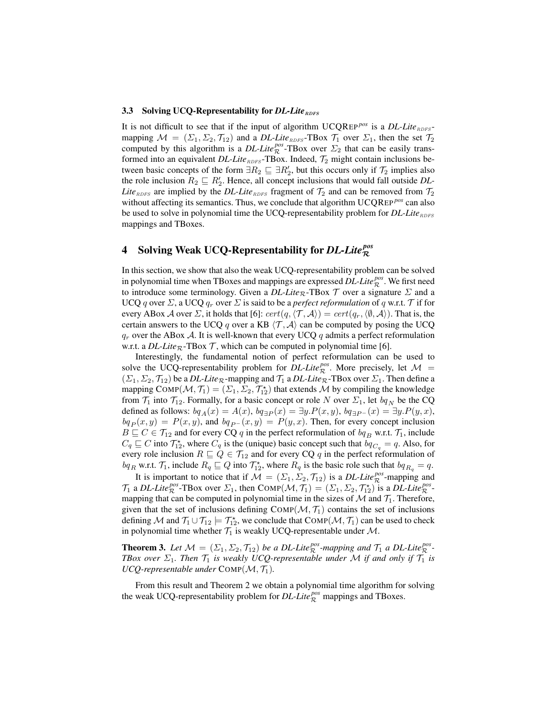#### 3.3 Solving UCQ-Representability for *DL-Lite*<sub>RDFS</sub>

It is not difficult to see that if the input of algorithm  $UCQ$ REP<sup>*pos*</sup> is a *DL-Lite*<sub>RDFS</sub>mapping  $\mathcal{M} = (\Sigma_1, \Sigma_2, \mathcal{T}_{12})$  and a *DL-Lite*<sub>RDFS</sub>-TBox  $\mathcal{T}_1$  over  $\Sigma_1$ , then the set  $\mathcal{T}_2$ computed by this algorithm is a *DL-Lite*<sup>*pos*</sup>-TBox over  $\Sigma_2$  that can be easily transformed into an equivalent *DL-Lite*<sub>RDFS</sub>-TBox. Indeed,  $\mathcal{T}_2$  might contain inclusions between basic concepts of the form  $\exists R_2 \sqsubseteq \exists R_2'$ , but this occurs only if  $\mathcal{T}_2$  implies also the role inclusion  $R_2 \sqsubseteq R'_2$ . Hence, all concept inclusions that would fall outside *DL*-*Lite*<sub>RDFS</sub> are implied by the *DL-Lite*<sub>RDFS</sub> fragment of  $\mathcal{T}_2$  and can be removed from  $\mathcal{T}_2$ without affecting its semantics. Thus, we conclude that algorithm UCQREP<sup>*pos*</sup> can also be used to solve in polynomial time the UCQ-representability problem for *DL-Lite*<sub>RDFS</sub> mappings and TBoxes.

# 4 Solving Weak UCQ-Representability for *DL-Lite pos* R

In this section, we show that also the weak UCQ-representability problem can be solved in polynomial time when TBoxes and mappings are expressed  $DL\text{-}Life_{\mathcal{R}}^{pos}$ . We first need to introduce some terminology. Given a  $DL\text{-}Lie_R\text{-}T\text{Box }\mathcal{T}$  over a signature  $\Sigma$  and a UCQ q over  $\Sigma$ , a UCQ  $q_r$  over  $\Sigma$  is said to be a *perfect reformulation* of q w.r.t.  $\mathcal T$  if for every ABox A over  $\Sigma$ , it holds that [6]:  $cert(q, \langle T, A \rangle) = cert(q_r, \langle \emptyset, A \rangle)$ . That is, the certain answers to the UCQ q over a KB  $\langle \mathcal{T}, \mathcal{A} \rangle$  can be computed by posing the UCQ  $q_r$  over the ABox A. It is well-known that every UCQ q admits a perfect reformulation w.r.t. a *DL-Lite*<sub>R</sub>-TBox  $\mathcal T$ , which can be computed in polynomial time [6].

Interestingly, the fundamental notion of perfect reformulation can be used to solve the UCQ-representability problem for  $DL\text{-}Lie_{\mathcal{R}}^{pos}$ . More precisely, let  $\mathcal{M}$  =  $(\Sigma_1, \Sigma_2, \mathcal{T}_{12})$  be a *DL-Lite*<sub>R</sub>-mapping and  $\mathcal{T}_1$  a *DL-Lite*<sub>R</sub>-TBox over  $\Sigma_1$ . Then define a mapping  $\text{COMP}(\mathcal{M}, \mathcal{T}_1) = (\Sigma_1, \Sigma_2, \mathcal{T}_{12}^*)$  that extends  $\mathcal M$  by compiling the knowledge from  $\mathcal{T}_1$  into  $\mathcal{T}_{12}$ . Formally, for a basic concept or role N over  $\Sigma_1$ , let  $bq_N$  be the CQ defined as follows:  $bq_A(x) = A(x)$ ,  $bq_{\exists P}(x) = \exists y.P(x,y)$ ,  $bq_{\exists P}(x) = \exists y.P(y,x)$ ,  $bq_P (x, y) = P(x, y)$ , and  $bq_{P} (x, y) = P(y, x)$ . Then, for every concept inclusion  $B \sqsubseteq C \in \mathcal{T}_{12}$  and for every CQ q in the perfect reformulation of  $bq_B$  w.r.t.  $\mathcal{T}_1$ , include  $C_q \sqsubseteq C$  into  $\mathcal{T}_{12}^*$ , where  $C_q$  is the (unique) basic concept such that  $bq_{C_q} = q$ . Also, for every role inclusion  $R \sqsubseteq Q \in \mathcal{T}_{12}$  and for every CQ q in the perfect reformulation of  $bq_R$  w.r.t.  $\mathcal{T}_1$ , include  $R_q \sqsubseteq Q$  into  $\mathcal{T}_{12}^*$ , where  $R_q$  is the basic role such that  $bq_{R_q} = q$ .

It is important to notice that if  $M = (\Sigma_1, \Sigma_2, \mathcal{T}_{12})$  is a *DL-Lite*<sup>*pos*</sup>-mapping and  $\mathcal{T}_1$  a *DL-Lite*<sup>*pos</sup>*-TBox over  $\Sigma_1$ , then  $\text{COMP}(\mathcal{M}, \mathcal{T}_1) = (\Sigma_1, \Sigma_2, \mathcal{T}_{12}^*)$  is a *DL-Lite*<sup>*pos*</sup>-</sup> mapping that can be computed in polynomial time in the sizes of  $M$  and  $\mathcal{T}_1$ . Therefore, given that the set of inclusions defining  $\text{COMP}(\mathcal{M}, \mathcal{T}_1)$  contains the set of inclusions defining M and  $\mathcal{T}_1 \cup \mathcal{T}_{12} \models \mathcal{T}_{12}^*$ , we conclude that  $\text{COMP}(\mathcal{M}, \mathcal{T}_1)$  can be used to check in polynomial time whether  $\mathcal{T}_1$  is weakly UCQ-representable under  $\mathcal{M}$ .

**Theorem 3.** Let  $M = (\Sigma_1, \Sigma_2, \mathcal{T}_{12})$  be a DL-Lite<sup>pos</sup>-mapping and  $\mathcal{T}_1$  a DL-Lite<sup>pos</sup>-*TBox over*  $\Sigma_1$ *. Then*  $\mathcal{T}_1$  *is weakly UCQ-representable under* M *if and only if*  $\mathcal{T}_1$  *is UCQ-representable under*  $COMP(M, \mathcal{T}_1)$ *.* 

From this result and Theorem 2 we obtain a polynomial time algorithm for solving the weak UCQ-representability problem for  $DL\text{-}Lie\frac{pos}{R}$  mappings and TBoxes.